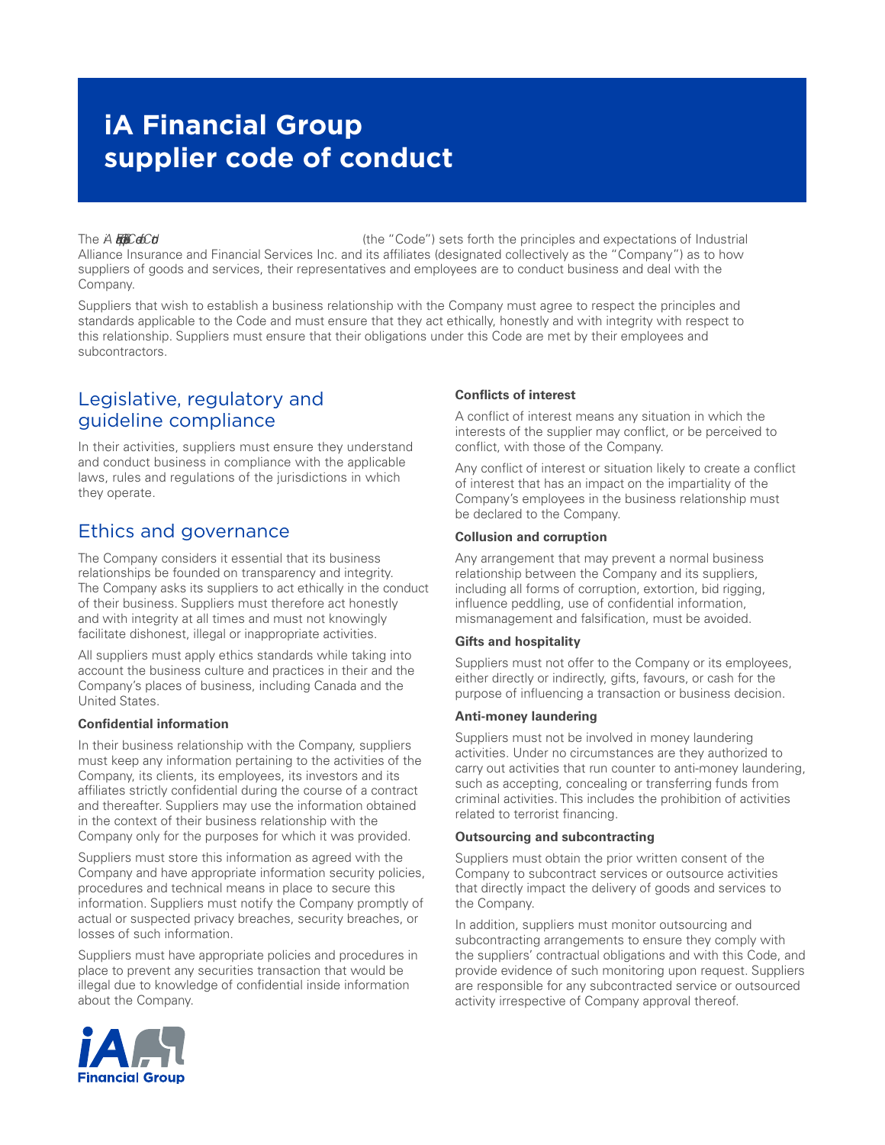# **iA Financial Group supplier code of conduct**

The *A Effeceb* Cole of Code of Code of Code of Code of Code of Conductrial (the "Code") sets forth the principles and expectations of Industrial Alliance Insurance and Financial Services Inc. and its affiliates (designated collectively as the "Company") as to how suppliers of goods and services, their representatives and employees are to conduct business and deal with the Company.

Suppliers that wish to establish a business relationship with the Company must agree to respect the principles and standards applicable to the Code and must ensure that they act ethically, honestly and with integrity with respect to this relationship. Suppliers must ensure that their obligations under this Code are met by their employees and subcontractors.

### Legislative, regulatory and guideline compliance

In their activities, suppliers must ensure they understand and conduct business in compliance with the applicable laws, rules and regulations of the jurisdictions in which they operate.

### Ethics and governance

The Company considers it essential that its business relationships be founded on transparency and integrity. The Company asks its suppliers to act ethically in the conduct of their business. Suppliers must therefore act honestly and with integrity at all times and must not knowingly facilitate dishonest, illegal or inappropriate activities.

All suppliers must apply ethics standards while taking into account the business culture and practices in their and the Company's places of business, including Canada and the United States.

#### **Confidential information**

In their business relationship with the Company, suppliers must keep any information pertaining to the activities of the Company, its clients, its employees, its investors and its affiliates strictly confidential during the course of a contract and thereafter. Suppliers may use the information obtained in the context of their business relationship with the Company only for the purposes for which it was provided.

Suppliers must store this information as agreed with the Company and have appropriate information security policies, procedures and technical means in place to secure this information. Suppliers must notify the Company promptly of actual or suspected privacy breaches, security breaches, or losses of such information.

Suppliers must have appropriate policies and procedures in place to prevent any securities transaction that would be illegal due to knowledge of confidential inside information about the Company.

### **Conflicts of interest**

A conflict of interest means any situation in which the interests of the supplier may conflict, or be perceived to conflict, with those of the Company.

Any conflict of interest or situation likely to create a conflict of interest that has an impact on the impartiality of the Company's employees in the business relationship must be declared to the Company.

#### **Collusion and corruption**

Any arrangement that may prevent a normal business relationship between the Company and its suppliers, including all forms of corruption, extortion, bid rigging, influence peddling, use of confidential information, mismanagement and falsification, must be avoided.

#### **Gifts and hospitality**

Suppliers must not offer to the Company or its employees, either directly or indirectly, gifts, favours, or cash for the purpose of influencing a transaction or business decision.

#### **Anti-money laundering**

Suppliers must not be involved in money laundering activities. Under no circumstances are they authorized to carry out activities that run counter to anti-money laundering, such as accepting, concealing or transferring funds from criminal activities. This includes the prohibition of activities related to terrorist financing.

#### **Outsourcing and subcontracting**

Suppliers must obtain the prior written consent of the Company to subcontract services or outsource activities that directly impact the delivery of goods and services to the Company.

In addition, suppliers must monitor outsourcing and subcontracting arrangements to ensure they comply with the suppliers' contractual obligations and with this Code, and provide evidence of such monitoring upon request. Suppliers are responsible for any subcontracted service or outsourced activity irrespective of Company approval thereof.

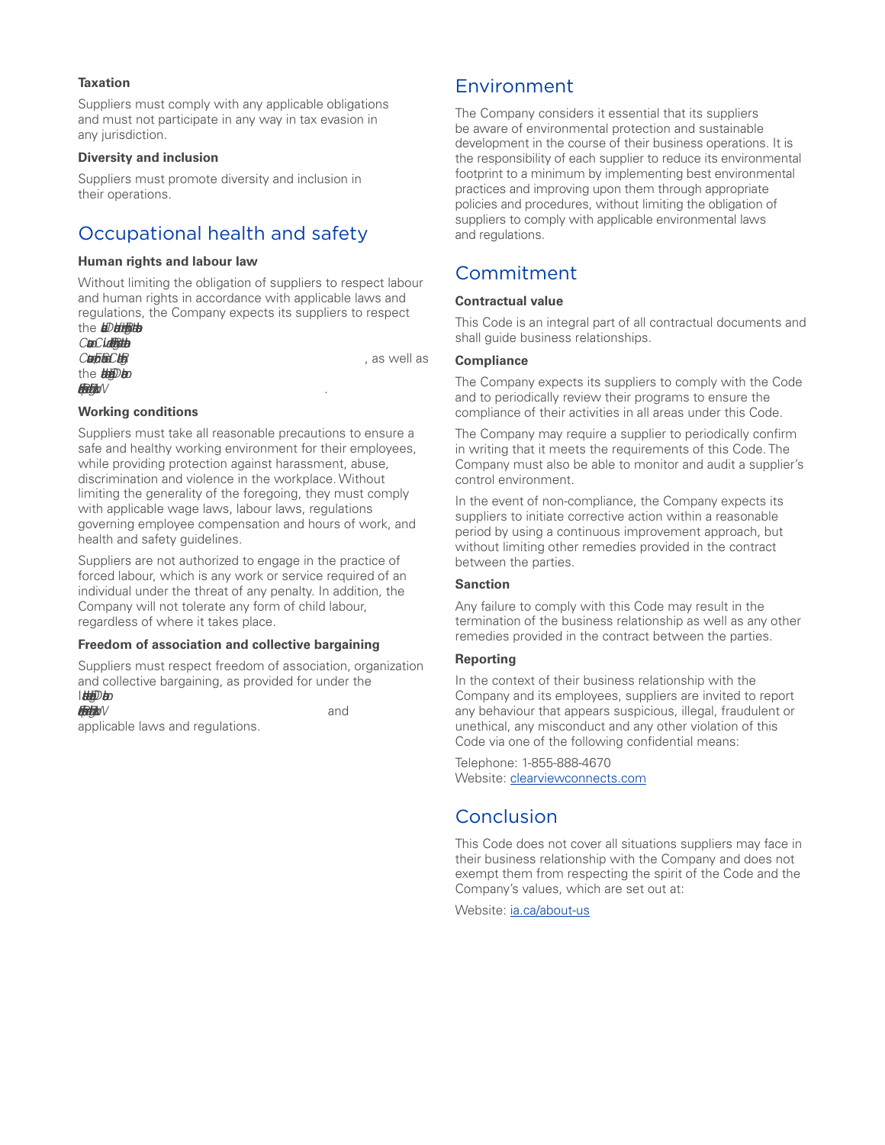#### **Taxation**

Suppliers must comply with any applicable obligations and must not participate in any way in tax evasion in any jurisdiction.

#### **Diversity and inclusion**

Suppliers must promote diversity and inclusion in their operations.

### Occupational health and safety

#### **Human rights and labour law**

Without limiting the obligation of suppliers to respect labour and human rights in accordance with applicable laws and regulations, the Company expects its suppliers to respect the *Dethine* 

*Covenat on Civl and Politca Rights and the Interaiol*  the *Hildblan Fundametl Princples and Rights at Work* .

#### **Working conditions**

Suppliers must take all reasonable precautions to ensure a safe and healthy working environment for their employees, while providing protection against harassment, abuse, discrimination and violence in the workplace. Without limiting the generality of the foregoing, they must comply with applicable wage laws, labour laws, regulations governing employee compensation and hours of work, and health and safety guidelines.

Suppliers are not authorized to engage in the practice of forced labour, which is any work or service required of an individual under the threat of any penalty. In addition, the Company will not tolerate any form of child labour, regardless of where it takes place.

#### **Freedom of association and collective bargaining**

Suppliers must respect freedom of association, organization and collective bargaining, as provided for under the I*nteraiol Labour Organizto Declartion on* 

*Fundametl Princples and Rights at Work* and applicable laws and regulations.

### Environment

The Company considers it essential that its suppliers be aware of environmental protection and sustainable development in the course of their business operations. It is the responsibility of each supplier to reduce its environmental footprint to a minimum by implementing best environmental practices and improving upon them through appropriate policies and procedures, without limiting the obligation of suppliers to comply with applicable environmental laws and regulations.

### Commitment

#### **Contractual value**

This Code is an integral part of all contractual documents and shall guide business relationships.

#### **Compliance**

*Covenat on Econmi, Social and Cultra Rights* , as well as

The Company expects its suppliers to comply with the Code and to periodically review their programs to ensure the compliance of their activities in all areas under this Code.

The Company may require a supplier to periodically confirm in writing that it meets the requirements of this Code. The Company must also be able to monitor and audit a supplier's control environment.

In the event of non-compliance, the Company expects its suppliers to initiate corrective action within a reasonable period by using a continuous improvement approach, but without limiting other remedies provided in the contract between the parties.

#### **Sanction**

Any failure to comply with this Code may result in the termination of the business relationship as well as any other remedies provided in the contract between the parties.

#### **Reporting**

In the context of their business relationship with the Company and its employees, suppliers are invited to report any behaviour that appears suspicious, illegal, fraudulent or unethical, any misconduct and any other violation of this Code via one of the following confidential means:

Telephone: 1-855-888-4670 Website: [clearviewconnects.com](http://clearviewconnects.com)

### **Conclusion**

This Code does not cover all situations suppliers may face in their business relationship with the Company and does not exempt them from respecting the spirit of the Code and the Company's values, which are set out at:

Website: [ia.ca/about-us](http://ia.ca/about-us)